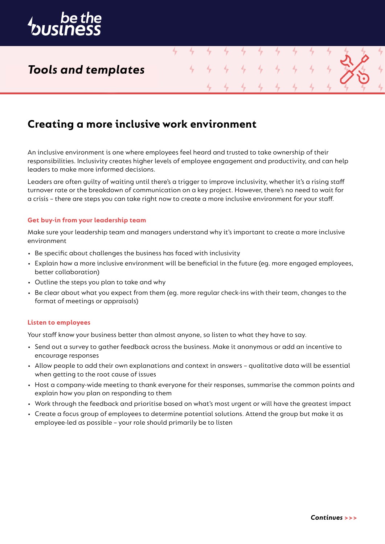

## *Tools and templates*

## **Creating a more inclusive work environment**

An inclusive environment is one where employees feel heard and trusted to take ownership of their responsibilities. Inclusivity creates higher levels of employee engagement and productivity, and can help leaders to make more informed decisions.

4

Leaders are often guilty of waiting until there's a trigger to improve inclusivity, whether it's a rising staff turnover rate or the breakdown of communication on a key project. However, there's no need to wait for a crisis – there are steps you can take right now to create a more inclusive environment for your staff.

### **Get buy-in from your leadership team**

Make sure your leadership team and managers understand why it's important to create a more inclusive environment

- Be specific about challenges the business has faced with inclusivity
- Explain how a more inclusive environment will be beneficial in the future (eg. more engaged employees, better collaboration)
- Outline the steps you plan to take and why
- Be clear about what you expect from them (eg. more regular check-ins with their team, changes to the format of meetings or appraisals)

### **Listen to employees**

Your staff know your business better than almost anyone, so listen to what they have to say.

- Send out a survey to gather feedback across the business. Make it anonymous or add an incentive to encourage responses
- Allow people to add their own explanations and context in answers qualitative data will be essential when getting to the root cause of issues
- Host a company-wide meeting to thank everyone for their responses, summarise the common points and explain how you plan on responding to them
- Work through the feedback and prioritise based on what's most urgent or will have the greatest impact
- Create a focus group of employees to determine potential solutions. Attend the group but make it as employee-led as possible – your role should primarily be to listen